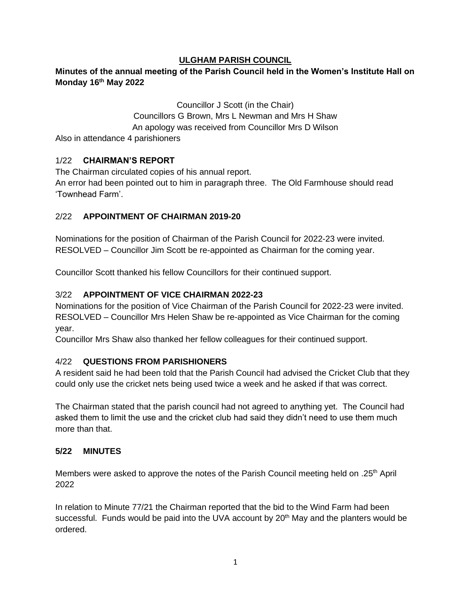#### **ULGHAM PARISH COUNCIL**

# **Minutes of the annual meeting of the Parish Council held in the Women's Institute Hall on Monday 16 th May 2022**

Councillor J Scott (in the Chair) Councillors G Brown, Mrs L Newman and Mrs H Shaw An apology was received from Councillor Mrs D Wilson Also in attendance 4 parishioners

#### 1/22 **CHAIRMAN'S REPORT**

The Chairman circulated copies of his annual report. An error had been pointed out to him in paragraph three. The Old Farmhouse should read 'Townhead Farm'.

#### 2/22 **APPOINTMENT OF CHAIRMAN 2019-20**

Nominations for the position of Chairman of the Parish Council for 2022-23 were invited. RESOLVED – Councillor Jim Scott be re-appointed as Chairman for the coming year.

Councillor Scott thanked his fellow Councillors for their continued support.

#### 3/22 **APPOINTMENT OF VICE CHAIRMAN 2022-23**

Nominations for the position of Vice Chairman of the Parish Council for 2022-23 were invited. RESOLVED – Councillor Mrs Helen Shaw be re-appointed as Vice Chairman for the coming year.

Councillor Mrs Shaw also thanked her fellow colleagues for their continued support.

#### 4/22 **QUESTIONS FROM PARISHIONERS**

A resident said he had been told that the Parish Council had advised the Cricket Club that they could only use the cricket nets being used twice a week and he asked if that was correct.

The Chairman stated that the parish council had not agreed to anything yet. The Council had asked them to limit the use and the cricket club had said they didn't need to use them much more than that.

#### **5/22 MINUTES**

Members were asked to approve the notes of the Parish Council meeting held on .25<sup>th</sup> April 2022

In relation to Minute 77/21 the Chairman reported that the bid to the Wind Farm had been successful. Funds would be paid into the UVA account by 20<sup>th</sup> May and the planters would be ordered.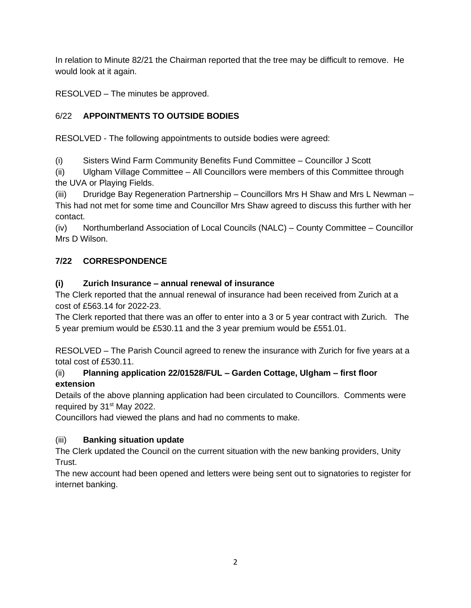In relation to Minute 82/21 the Chairman reported that the tree may be difficult to remove. He would look at it again.

RESOLVED – The minutes be approved.

# 6/22 **APPOINTMENTS TO OUTSIDE BODIES**

RESOLVED - The following appointments to outside bodies were agreed:

(i) Sisters Wind Farm Community Benefits Fund Committee – Councillor J Scott

(ii) Ulgham Village Committee – All Councillors were members of this Committee through the UVA or Playing Fields.

(iii) Druridge Bay Regeneration Partnership – Councillors Mrs H Shaw and Mrs L Newman – This had not met for some time and Councillor Mrs Shaw agreed to discuss this further with her contact.

(iv) Northumberland Association of Local Councils (NALC) – County Committee – Councillor Mrs D Wilson.

# **7/22 CORRESPONDENCE**

# **(i) Zurich Insurance – annual renewal of insurance**

The Clerk reported that the annual renewal of insurance had been received from Zurich at a cost of £563.14 for 2022-23.

The Clerk reported that there was an offer to enter into a 3 or 5 year contract with Zurich. The 5 year premium would be £530.11 and the 3 year premium would be £551.01.

RESOLVED – The Parish Council agreed to renew the insurance with Zurich for five years at a total cost of £530.11.

# (ii) **Planning application 22/01528/FUL – Garden Cottage, Ulgham – first floor extension**

Details of the above planning application had been circulated to Councillors. Comments were required by 31<sup>st</sup> May 2022.

Councillors had viewed the plans and had no comments to make.

# (iii) **Banking situation update**

The Clerk updated the Council on the current situation with the new banking providers, Unity Trust.

The new account had been opened and letters were being sent out to signatories to register for internet banking.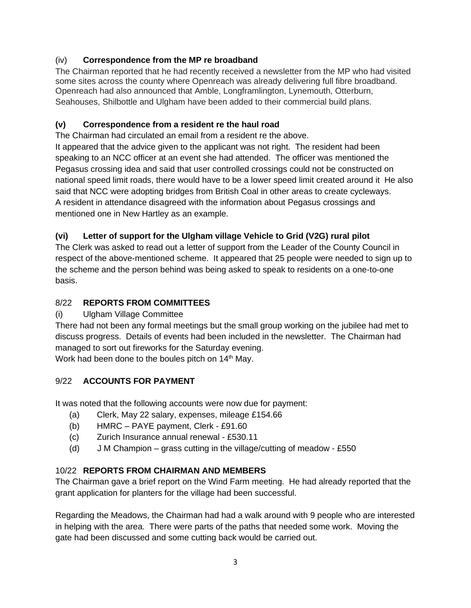# (iv) **Correspondence from the MP re broadband**

The Chairman reported that he had recently received a newsletter from the MP who had visited some sites across the county where Openreach was already delivering full fibre broadband. Openreach had also announced that Amble, Longframlington, Lynemouth, Otterburn, Seahouses, Shilbottle and Ulgham have been added to their commercial build plans.

# **(v) Correspondence from a resident re the haul road**

The Chairman had circulated an email from a resident re the above.

It appeared that the advice given to the applicant was not right. The resident had been speaking to an NCC officer at an event she had attended. The officer was mentioned the Pegasus crossing idea and said that user controlled crossings could not be constructed on national speed limit roads, there would have to be a lower speed limit created around it He also said that NCC were adopting bridges from British Coal in other areas to create cycleways. A resident in attendance disagreed with the information about Pegasus crossings and mentioned one in New Hartley as an example.

# **(vi) Letter of support for the Ulgham village Vehicle to Grid (V2G) rural pilot**

The Clerk was asked to read out a letter of support from the Leader of the County Council in respect of the above-mentioned scheme. It appeared that 25 people were needed to sign up to the scheme and the person behind was being asked to speak to residents on a one-to-one basis.

# 8/22 **REPORTS FROM COMMITTEES**

### (i) Ulgham Village Committee

There had not been any formal meetings but the small group working on the jubilee had met to discuss progress. Details of events had been included in the newsletter. The Chairman had managed to sort out fireworks for the Saturday evening.

Work had been done to the boules pitch on 14<sup>th</sup> May.

### 9/22 **ACCOUNTS FOR PAYMENT**

It was noted that the following accounts were now due for payment:

- (a) Clerk, May 22 salary, expenses, mileage £154.66
- (b) HMRC PAYE payment, Clerk £91.60
- (c) Zurich Insurance annual renewal £530.11
- (d) J M Champion grass cutting in the village/cutting of meadow £550

### 10/22 **REPORTS FROM CHAIRMAN AND MEMBERS**

The Chairman gave a brief report on the Wind Farm meeting. He had already reported that the grant application for planters for the village had been successful.

Regarding the Meadows, the Chairman had had a walk around with 9 people who are interested in helping with the area. There were parts of the paths that needed some work. Moving the gate had been discussed and some cutting back would be carried out.